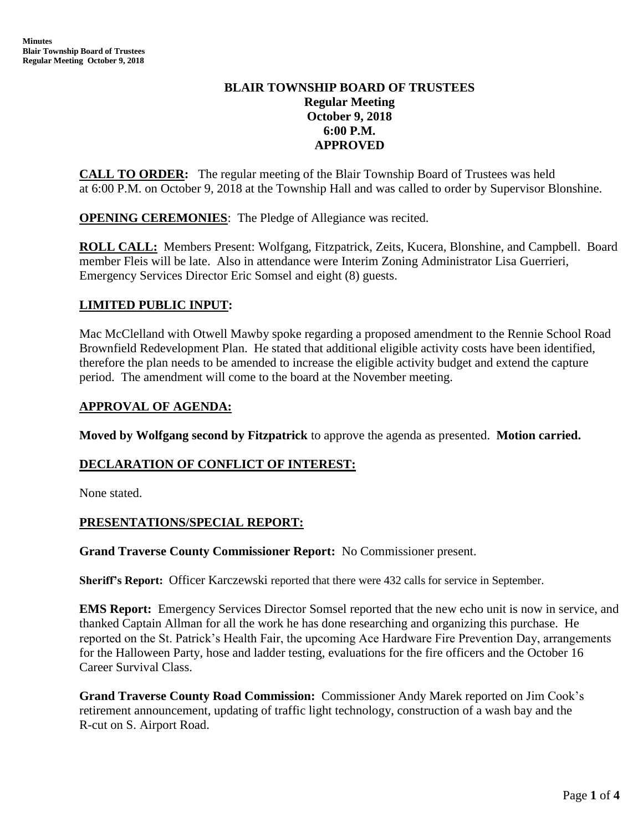# **BLAIR TOWNSHIP BOARD OF TRUSTEES Regular Meeting October 9, 2018 6:00 P.M. APPROVED**

**CALL TO ORDER:** The regular meeting of the Blair Township Board of Trustees was held at 6:00 P.M. on October 9, 2018 at the Township Hall and was called to order by Supervisor Blonshine.

**OPENING CEREMONIES**: The Pledge of Allegiance was recited.

**ROLL CALL:** Members Present: Wolfgang, Fitzpatrick, Zeits, Kucera, Blonshine, and Campbell. Board member Fleis will be late. Also in attendance were Interim Zoning Administrator Lisa Guerrieri, Emergency Services Director Eric Somsel and eight (8) guests.

# **LIMITED PUBLIC INPUT:**

Mac McClelland with Otwell Mawby spoke regarding a proposed amendment to the Rennie School Road Brownfield Redevelopment Plan. He stated that additional eligible activity costs have been identified, therefore the plan needs to be amended to increase the eligible activity budget and extend the capture period. The amendment will come to the board at the November meeting.

### **APPROVAL OF AGENDA:**

**Moved by Wolfgang second by Fitzpatrick** to approve the agenda as presented. **Motion carried.**

### **DECLARATION OF CONFLICT OF INTEREST:**

None stated.

# **PRESENTATIONS/SPECIAL REPORT:**

**Grand Traverse County Commissioner Report:** No Commissioner present.

**Sheriff's Report:** Officer Karczewski reported that there were 432 calls for service in September.

**EMS Report:** Emergency Services Director Somsel reported that the new echo unit is now in service, and thanked Captain Allman for all the work he has done researching and organizing this purchase. He reported on the St. Patrick's Health Fair, the upcoming Ace Hardware Fire Prevention Day, arrangements for the Halloween Party, hose and ladder testing, evaluations for the fire officers and the October 16 Career Survival Class.

 **Grand Traverse County Road Commission:** Commissioner Andy Marek reported on Jim Cook's retirement announcement, updating of traffic light technology, construction of a wash bay and the R-cut on S. Airport Road.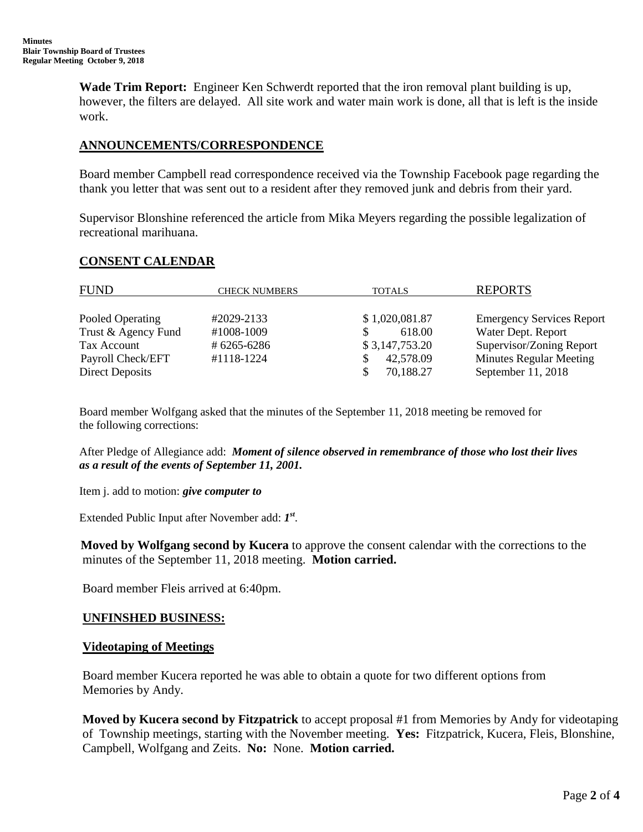**Wade Trim Report:** Engineer Ken Schwerdt reported that the iron removal plant building is up, however, the filters are delayed. All site work and water main work is done, all that is left is the inside work.

### **ANNOUNCEMENTS/CORRESPONDENCE**

Board member Campbell read correspondence received via the Township Facebook page regarding the thank you letter that was sent out to a resident after they removed junk and debris from their yard.

Supervisor Blonshine referenced the article from Mika Meyers regarding the possible legalization of recreational marihuana.

### **CONSENT CALENDAR**

| <b>FUND</b>         | <b>CHECK NUMBERS</b> | <b>TOTALS</b>  | <b>REPORTS</b>                   |
|---------------------|----------------------|----------------|----------------------------------|
| Pooled Operating    | #2029-2133           | \$1,020,081.87 | <b>Emergency Services Report</b> |
| Trust & Agency Fund | #1008-1009           | 618.00         | Water Dept. Report               |
| Tax Account         | #6265-6286           | \$3,147,753.20 | Supervisor/Zoning Report         |
| Payroll Check/EFT   | #1118-1224           | 42,578.09      | <b>Minutes Regular Meeting</b>   |
| Direct Deposits     |                      | 70,188.27      | September 11, 2018               |

Board member Wolfgang asked that the minutes of the September 11, 2018 meeting be removed for the following corrections:

After Pledge of Allegiance add: *Moment of silence observed in remembrance of those who lost their lives as a result of the events of September 11, 2001.* 

Item j. add to motion: *give computer to*

Extended Public Input after November add: *1 st* .

 **Moved by Wolfgang second by Kucera** to approve the consent calendar with the corrections to the minutes of the September 11, 2018 meeting. **Motion carried.**

Board member Fleis arrived at 6:40pm.

### **UNFINSHED BUSINESS:**

### **Videotaping of Meetings**

 Board member Kucera reported he was able to obtain a quote for two different options from Memories by Andy.

 **Moved by Kucera second by Fitzpatrick** to accept proposal #1 from Memories by Andy for videotaping of Township meetings, starting with the November meeting. **Yes:** Fitzpatrick, Kucera, Fleis, Blonshine, Campbell, Wolfgang and Zeits. **No:** None. **Motion carried.**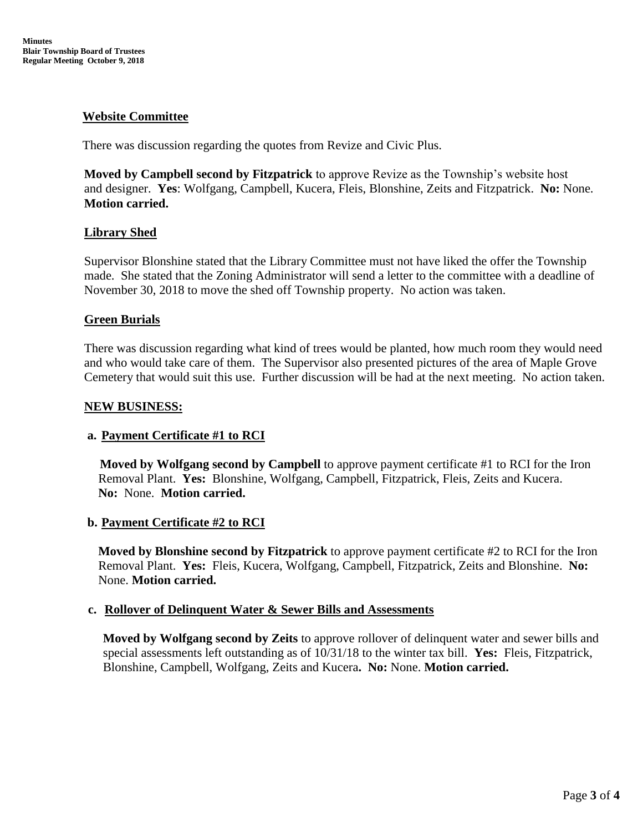## **Website Committee**

There was discussion regarding the quotes from Revize and Civic Plus.

**Moved by Campbell second by Fitzpatrick** to approve Revize as the Township's website host and designer. **Yes**: Wolfgang, Campbell, Kucera, Fleis, Blonshine, Zeits and Fitzpatrick. **No:** None. **Motion carried.**

### **Library Shed**

Supervisor Blonshine stated that the Library Committee must not have liked the offer the Township made. She stated that the Zoning Administrator will send a letter to the committee with a deadline of November 30, 2018 to move the shed off Township property. No action was taken.

### **Green Burials**

There was discussion regarding what kind of trees would be planted, how much room they would need and who would take care of them. The Supervisor also presented pictures of the area of Maple Grove Cemetery that would suit this use. Further discussion will be had at the next meeting. No action taken.

#### **NEW BUSINESS:**

### **a. Payment Certificate #1 to RCI**

 **Moved by Wolfgang second by Campbell** to approve payment certificate #1 to RCI for the Iron Removal Plant. **Yes:** Blonshine, Wolfgang, Campbell, Fitzpatrick, Fleis, Zeits and Kucera. **No:** None. **Motion carried.**

### **b. Payment Certificate #2 to RCI**

**Moved by Blonshine second by Fitzpatrick** to approve payment certificate #2 to RCI for the Iron Removal Plant. **Yes:** Fleis, Kucera, Wolfgang, Campbell, Fitzpatrick, Zeits and Blonshine. **No:** None. **Motion carried.**

### **c. Rollover of Delinquent Water & Sewer Bills and Assessments**

**Moved by Wolfgang second by Zeits** to approve rollover of delinquent water and sewer bills and special assessments left outstanding as of 10/31/18 to the winter tax bill. **Yes:** Fleis, Fitzpatrick, Blonshine, Campbell, Wolfgang, Zeits and Kucera**. No:** None. **Motion carried.**